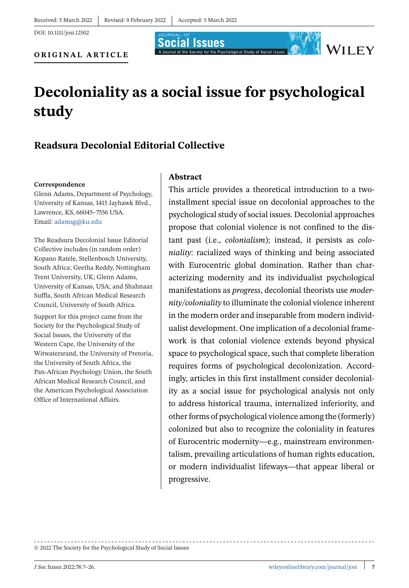DOI: 10.1111/josi.12502

**Social Issues** A Journal of the Society for the Psychological Study of Social Issues

#### **ORIGINAL ARTICLE**

# **Decoloniality as a social issue for psychological study**

# **Readsura Decolonial Editorial Collective**

#### **Correspondence**

Glenn Adams, Department of Psychology, University of Kansas, 1415 Jayhawk Blvd., Lawrence, KS, 66045–7556 USA. Email: [adamsg@ku.edu](mailto:adamsg@ku.edu)

The Readsura Decolonial Issue Editorial Collective includes (in random order) Kopano Ratele, Stellenbosch University, South Africa; Geetha Reddy, Nottingham Trent University, UK; Glenn Adams, University of Kansas, USA; and Shahnaaz Suffla, South African Medical Research Council, University of South Africa.

Support for this project came from the Society for the Psychological Study of Social Issues, the University of the Western Cape, the University of the Witwatersrand, the University of Pretoria, the University of South Africa, the Pan-African Psychology Union, the South African Medical Research Council, and the American Psychological Association Office of International Affairs.

#### **Abstract**

This article provides a theoretical introduction to a twoinstallment special issue on decolonial approaches to the psychological study of social issues. Decolonial approaches propose that colonial violence is not confined to the distant past (i.e., *colonialism*); instead, it persists as *coloniality*: racialized ways of thinking and being associated with Eurocentric global domination. Rather than characterizing modernity and its individualist psychological manifestations as *progress*, decolonial theorists use *modernity/coloniality* to illuminate the colonial violence inherent in the modern order and inseparable from modern individualist development. One implication of a decolonial framework is that colonial violence extends beyond physical space to psychological space, such that complete liberation requires forms of psychological decolonization. Accordingly, articles in this first installment consider decoloniality as a social issue for psychological analysis not only to address historical trauma, internalized inferiority, and other forms of psychological violence among the (formerly) colonized but also to recognize the coloniality in features of Eurocentric modernity—e.g., mainstream environmentalism, prevailing articulations of human rights education, or modern individualist lifeways—that appear liberal or progressive.

© 2022 The Society for the Psychological Study of Social Issues

WILEY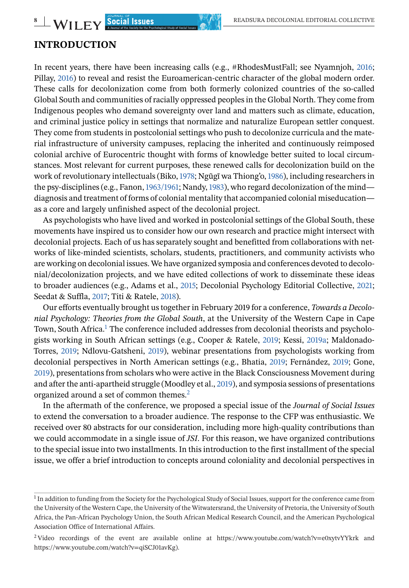# **INTRODUCTION**

In recent years, there have been increasing calls (e.g., #RhodesMustFall; see Nyamnjoh, [2016;](#page-17-0) Pillay, [2016\)](#page-17-0) to reveal and resist the Euroamerican-centric character of the global modern order. These calls for decolonization come from both formerly colonized countries of the so-called Global South and communities of racially oppressed peoples in the Global North. They come from Indigenous peoples who demand sovereignty over land and matters such as climate, education, and criminal justice policy in settings that normalize and naturalize European settler conquest. They come from students in postcolonial settings who push to decolonize curricula and the material infrastructure of university campuses, replacing the inherited and continuously reimposed colonial archive of Eurocentric thought with forms of knowledge better suited to local circumstances. Most relevant for current purposes, these renewed calls for decolonization build on the work of revolutionary intellectuals (Biko, [1978;](#page-14-0) Ngũgĩ wa Thiong'o, [1986\)](#page-17-0), including researchers in the psy-disciplines (e.g., Fanon,[1963/1961;](#page-15-0) Nandy,[1983\)](#page-16-0), who regard decolonization of the mind diagnosis and treatment of forms of colonial mentality that accompanied colonial miseducation as a core and largely unfinished aspect of the decolonial project.

As psychologists who have lived and worked in postcolonial settings of the Global South, these movements have inspired us to consider how our own research and practice might intersect with decolonial projects. Each of us has separately sought and benefitted from collaborations with networks of like-minded scientists, scholars, students, practitioners, and community activists who are working on decolonial issues. We have organized symposia and conferences devoted to decolonial/decolonization projects, and we have edited collections of work to disseminate these ideas to broader audiences (e.g., Adams et al., [2015;](#page-13-0) Decolonial Psychology Editorial Collective, [2021;](#page-15-0) Seedat & Suffla, [2017;](#page-17-0) Titi & Ratele, [2018\)](#page-18-0).

Our efforts eventually brought us together in February 2019 for a conference, *Towards a Decolonial Psychology: Theories from the Global South*, at the University of the Western Cape in Cape Town, South Africa.<sup>1</sup> The conference included addresses from decolonial theorists and psychologists working in South African settings (e.g., Cooper & Ratele, [2019;](#page-15-0) Kessi, [2019a;](#page-16-0) Maldonado-Torres, [2019;](#page-16-0) Ndlovu-Gatsheni, [2019\)](#page-17-0), webinar presentations from psychologists working from decolonial perspectives in North American settings (e.g., Bhatia, [2019;](#page-14-0) Fernández, [2019;](#page-15-0) Gone, [2019\)](#page-15-0), presentations from scholars who were active in the Black Consciousness Movement during and after the anti-apartheid struggle (Moodley et al., [2019\)](#page-15-0), and symposia sessions of presentations organized around a set of common themes.2

In the aftermath of the conference, we proposed a special issue of the *Journal of Social Issues* to extend the conversation to a broader audience. The response to the CFP was enthusiastic. We received over 80 abstracts for our consideration, including more high-quality contributions than we could accommodate in a single issue of *JSI*. For this reason, we have organized contributions to the special issue into two installments. In this introduction to the first installment of the special issue, we offer a brief introduction to concepts around coloniality and decolonial perspectives in

<sup>&</sup>lt;sup>1</sup> In addition to funding from the Society for the Psychological Study of Social Issues, support for the conference came from the University of the Western Cape, the University of the Witwatersrand, the University of Pretoria, the University of South Africa, the Pan-African Psychology Union, the South African Medical Research Council, and the American Psychological Association Office of International Affairs.

<sup>&</sup>lt;sup>2</sup> Video recordings of the event are available online at https://www.youtube.com/watch?v=e0xytvYYkrk and https://www.youtube.com/watch?v=qiSCJ01avKg).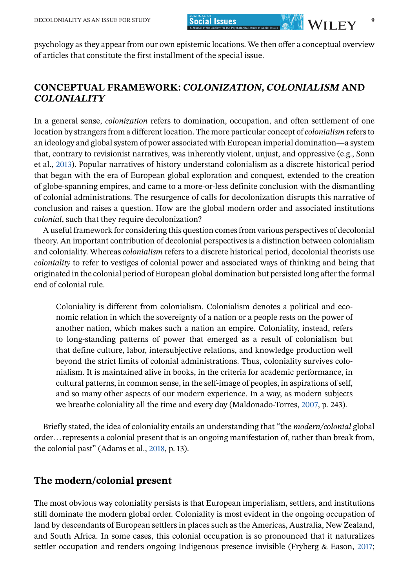psychology as they appear from our own epistemic locations. We then offer a conceptual overview of articles that constitute the first installment of the special issue.

# **CONCEPTUAL FRAMEWORK:** *COLONIZATION***,** *COLONIALISM* **AND** *COLONIALITY*

In a general sense, *colonization* refers to domination, occupation, and often settlement of one location by strangers from a different location. The more particular concept of *colonialism* refers to an ideology and global system of power associated with European imperial domination—a system that, contrary to revisionist narratives, was inherently violent, unjust, and oppressive (e.g., Sonn et al., [2013\)](#page-18-0). Popular narratives of history understand colonialism as a discrete historical period that began with the era of European global exploration and conquest, extended to the creation of globe-spanning empires, and came to a more-or-less definite conclusion with the dismantling of colonial administrations. The resurgence of calls for decolonization disrupts this narrative of conclusion and raises a question. How are the global modern order and associated institutions *colonial*, such that they require decolonization?

A useful framework for considering this question comes from various perspectives of decolonial theory. An important contribution of decolonial perspectives is a distinction between colonialism and coloniality. Whereas *colonialism* refers to a discrete historical period, decolonial theorists use *coloniality* to refer to vestiges of colonial power and associated ways of thinking and being that originated in the colonial period of European global domination but persisted long after the formal end of colonial rule.

Coloniality is different from colonialism. Colonialism denotes a political and economic relation in which the sovereignty of a nation or a people rests on the power of another nation, which makes such a nation an empire. Coloniality, instead, refers to long-standing patterns of power that emerged as a result of colonialism but that define culture, labor, intersubjective relations, and knowledge production well beyond the strict limits of colonial administrations. Thus, coloniality survives colonialism. It is maintained alive in books, in the criteria for academic performance, in cultural patterns, in common sense, in the self-image of peoples, in aspirations of self, and so many other aspects of our modern experience. In a way, as modern subjects we breathe coloniality all the time and every day (Maldonado-Torres, [2007,](#page-16-0) p. 243).

Briefly stated, the idea of coloniality entails an understanding that "the *modern/colonial* global order... represents a colonial present that is an ongoing manifestation of, rather than break from, the colonial past" (Adams et al., [2018,](#page-13-0) p. 13).

### **The modern/colonial present**

The most obvious way coloniality persists is that European imperialism, settlers, and institutions still dominate the modern global order. Coloniality is most evident in the ongoing occupation of land by descendants of European settlers in places such as the Americas, Australia, New Zealand, and South Africa. In some cases, this colonial occupation is so pronounced that it naturalizes settler occupation and renders ongoing Indigenous presence invisible (Fryberg & Eason, [2017;](#page-15-0)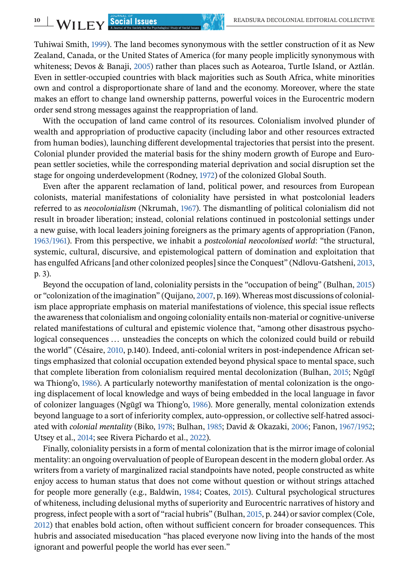Tuhiwai Smith, [1999\)](#page-18-0). The land becomes synonymous with the settler construction of it as New Zealand, Canada, or the United States of America (for many people implicitly synonymous with whiteness; Devos & Banaji, [2005\)](#page-15-0) rather than places such as Aotearoa, Turtle Island, or Aztlán. Even in settler-occupied countries with black majorities such as South Africa, white minorities own and control a disproportionate share of land and the economy. Moreover, where the state makes an effort to change land ownership patterns, powerful voices in the Eurocentric modern order send strong messages against the reappropriation of land.

With the occupation of land came control of its resources. Colonialism involved plunder of wealth and appropriation of productive capacity (including labor and other resources extracted from human bodies), launching different developmental trajectories that persist into the present. Colonial plunder provided the material basis for the shiny modern growth of Europe and European settler societies, while the corresponding material deprivation and social disruption set the stage for ongoing underdevelopment (Rodney, [1972\)](#page-17-0) of the colonized Global South.

Even after the apparent reclamation of land, political power, and resources from European colonists, material manifestations of coloniality have persisted in what postcolonial leaders referred to as *neocolonialism* (Nkrumah, [1967\)](#page-17-0). The dismantling of political colonialism did not result in broader liberation; instead, colonial relations continued in postcolonial settings under a new guise, with local leaders joining foreigners as the primary agents of appropriation (Fanon, [1963/1961\)](#page-15-0). From this perspective, we inhabit a *postcolonial neocolonised world*: "the structural, systemic, cultural, discursive, and epistemological pattern of domination and exploitation that has engulfed Africans [and other colonized peoples] since the Conquest" (Ndlovu-Gatsheni, [2013,](#page-16-0) p. 3).

Beyond the occupation of land, coloniality persists in the "occupation of being" (Bulhan, [2015\)](#page-14-0) or "colonization of the imagination" (Quijano, [2007,](#page-17-0) p. 169). Whereas most discussions of colonialism place appropriate emphasis on material manifestations of violence, this special issue reflects the awareness that colonialism and ongoing coloniality entails non-material or cognitive-universe related manifestations of cultural and epistemic violence that, "among other disastrous psychological consequences ... unsteadies the concepts on which the colonized could build or rebuild the world" (Césaire, [2010,](#page-14-0) p.140). Indeed, anti-colonial writers in post-independence African settings emphasized that colonial occupation extended beyond physical space to mental space, such that complete liberation from colonialism required mental decolonization (Bulhan, [2015;](#page-14-0) Ngũgĩ wa Thiong'o, [1986\)](#page-17-0). A particularly noteworthy manifestation of mental colonization is the ongoing displacement of local knowledge and ways of being embedded in the local language in favor of colonizer languages (Ngũgĩ wa Thiong'o, [1986\)](#page-17-0). More generally, mental colonization extends beyond language to a sort of inferiority complex, auto-oppression, or collective self-hatred associated with *colonial mentality* (Biko, [1978;](#page-14-0) Bulhan, [1985;](#page-14-0) David & Okazaki, [2006;](#page-15-0) Fanon, [1967/1952;](#page-15-0) Utsey et al., [2014;](#page-18-0) see Rivera Pichardo et al., [2022\)](#page-17-0).

Finally, coloniality persists in a form of mental colonization that is the mirror image of colonial mentality: an ongoing overvaluation of people of European descent in the modern global order. As writers from a variety of marginalized racial standpoints have noted, people constructed as white enjoy access to human status that does not come without question or without strings attached for people more generally (e.g., Baldwin, [1984;](#page-14-0) Coates, [2015\)](#page-15-0). Cultural psychological structures of whiteness, including delusional myths of superiority and Eurocentric narratives of history and progress, infect people with a sort of "racial hubris" (Bulhan, [2015,](#page-14-0) p. 244) or savior complex (Cole, [2012\)](#page-15-0) that enables bold action, often without sufficient concern for broader consequences. This hubris and associated miseducation "has placed everyone now living into the hands of the most ignorant and powerful people the world has ever seen."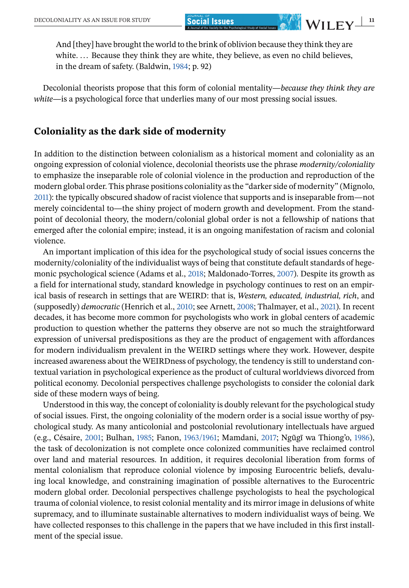And [they] have brought the world to the brink of oblivion because they think they are white. ... Because they think they are white, they believe, as even no child believes, in the dream of safety. (Baldwin, [1984;](#page-14-0) p. 92)

Decolonial theorists propose that this form of colonial mentality—*because they think they are white*—is a psychological force that underlies many of our most pressing social issues.

### **Coloniality as the dark side of modernity**

In addition to the distinction between colonialism as a historical moment and coloniality as an ongoing expression of colonial violence, decolonial theorists use the phrase *modernity/coloniality* to emphasize the inseparable role of colonial violence in the production and reproduction of the modern global order. This phrase positions coloniality as the "darker side of modernity" (Mignolo, [2011\)](#page-16-0): the typically obscured shadow of racist violence that supports and is inseparable from—not merely coincidental to—the shiny project of modern growth and development. From the standpoint of decolonial theory, the modern/colonial global order is not a fellowship of nations that emerged after the colonial empire; instead, it is an ongoing manifestation of racism and colonial violence.

An important implication of this idea for the psychological study of social issues concerns the modernity/coloniality of the individualist ways of being that constitute default standards of hegemonic psychological science (Adams et al., [2018;](#page-13-0) Maldonado-Torres, [2007\)](#page-16-0). Despite its growth as a field for international study, standard knowledge in psychology continues to rest on an empirical basis of research in settings that are WEIRD: that is, *Western, educated, industrial, rich*, and (supposedly) *democratic* (Henrich et al., [2010;](#page-16-0) see Arnett, [2008;](#page-14-0) Thalmayer, et al., [2021\)](#page-18-0). In recent decades, it has become more common for psychologists who work in global centers of academic production to question whether the patterns they observe are not so much the straightforward expression of universal predispositions as they are the product of engagement with affordances for modern individualism prevalent in the WEIRD settings where they work. However, despite increased awareness about the WEIRDness of psychology, the tendency is still to understand contextual variation in psychological experience as the product of cultural worldviews divorced from political economy. Decolonial perspectives challenge psychologists to consider the colonial dark side of these modern ways of being.

Understood in this way, the concept of coloniality is doubly relevant for the psychological study of social issues. First, the ongoing coloniality of the modern order is a social issue worthy of psychological study. As many anticolonial and postcolonial revolutionary intellectuals have argued (e.g., Césaire, [2001;](#page-14-0) Bulhan, [1985;](#page-14-0) Fanon, [1963/1961;](#page-15-0) Mamdani, [2017;](#page-16-0) Ngũgĩ wa Thiong'o, [1986\)](#page-17-0), the task of decolonization is not complete once colonized communities have reclaimed control over land and material resources. In addition, it requires decolonial liberation from forms of mental colonialism that reproduce colonial violence by imposing Eurocentric beliefs, devaluing local knowledge, and constraining imagination of possible alternatives to the Eurocentric modern global order. Decolonial perspectives challenge psychologists to heal the psychological trauma of colonial violence, to resist colonial mentality and its mirror image in delusions of white supremacy, and to illuminate sustainable alternatives to modern individualist ways of being. We have collected responses to this challenge in the papers that we have included in this first installment of the special issue.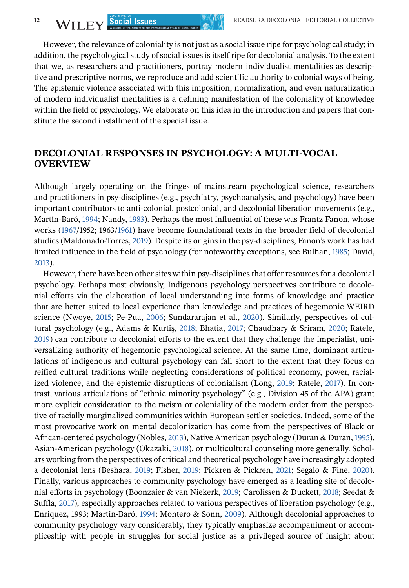However, the relevance of coloniality is not just as a social issue ripe for psychological study; in addition, the psychological study of social issues is itself ripe for decolonial analysis. To the extent that we, as researchers and practitioners, portray modern individualist mentalities as descriptive and prescriptive norms, we reproduce and add scientific authority to colonial ways of being. The epistemic violence associated with this imposition, normalization, and even naturalization of modern individualist mentalities is a defining manifestation of the coloniality of knowledge within the field of psychology. We elaborate on this idea in the introduction and papers that constitute the second installment of the special issue.

## **DECOLONIAL RESPONSES IN PSYCHOLOGY: A MULTI-VOCAL OVERVIEW**

Although largely operating on the fringes of mainstream psychological science, researchers and practitioners in psy-disciplines (e.g., psychiatry, psychoanalysis, and psychology) have been important contributors to anti-colonial, postcolonial, and decolonial liberation movements (e.g., Martín-Baró, [1994;](#page-16-0) Nandy, [1983\)](#page-16-0). Perhaps the most influential of these was Frantz Fanon, whose works [\(1967/](#page-15-0)1952; 1963[/1961\)](#page-15-0) have become foundational texts in the broader field of decolonial studies (Maldonado-Torres, [2019\)](#page-16-0). Despite its origins in the psy-disciplines, Fanon's work has had limited influence in the field of psychology (for noteworthy exceptions, see Bulhan, [1985;](#page-14-0) David, [2013\)](#page-15-0).

However, there have been other sites within psy-disciplines that offer resources for a decolonial psychology. Perhaps most obviously, Indigenous psychology perspectives contribute to decolonial efforts via the elaboration of local understanding into forms of knowledge and practice that are better suited to local experience than knowledge and practices of hegemonic WEIRD science (Nwoye, [2015;](#page-17-0) Pe-Pua, [2006;](#page-17-0) Sundararajan et al., [2020\)](#page-18-0). Similarly, perspectives of cultural psychology (e.g., Adams & Kurtiş, [2018;](#page-14-0) Bhatia, [2017;](#page-14-0) Chaudhary & Sriram, [2020;](#page-14-0) Ratele, [2019\)](#page-17-0) can contribute to decolonial efforts to the extent that they challenge the imperialist, universalizing authority of hegemonic psychological science. At the same time, dominant articulations of indigenous and cultural psychology can fall short to the extent that they focus on reified cultural traditions while neglecting considerations of political economy, power, racialized violence, and the epistemic disruptions of colonialism (Long, [2019;](#page-16-0) Ratele, [2017\)](#page-17-0). In contrast, various articulations of "ethnic minority psychology" (e.g., Division 45 of the APA) grant more explicit consideration to the racism or coloniality of the modern order from the perspective of racially marginalized communities within European settler societies. Indeed, some of the most provocative work on mental decolonization has come from the perspectives of Black or African-centered psychology (Nobles, [2013\)](#page-17-0), Native American psychology (Duran & Duran,[1995\)](#page-15-0), Asian-American psychology (Okazaki, [2018\)](#page-17-0), or multicultural counseling more generally. Scholars working from the perspectives of critical and theoretical psychology have increasingly adopted a decolonial lens (Beshara, [2019;](#page-14-0) Fisher, [2019;](#page-15-0) Pickren & Pickren, [2021;](#page-17-0) Segalo & Fine, [2020\)](#page-17-0). Finally, various approaches to community psychology have emerged as a leading site of decolonial efforts in psychology (Boonzaier & van Niekerk, [2019;](#page-14-0) Carolissen & Duckett, [2018;](#page-14-0) Seedat & Suffla, [2017\)](#page-17-0), especially approaches related to various perspectives of liberation psychology (e.g., Enriquez, 1993; Martín-Baró, [1994;](#page-16-0) Montero & Sonn, [2009\)](#page-16-0). Although decolonial approaches to community psychology vary considerably, they typically emphasize accompaniment or accompliceship with people in struggles for social justice as a privileged source of insight about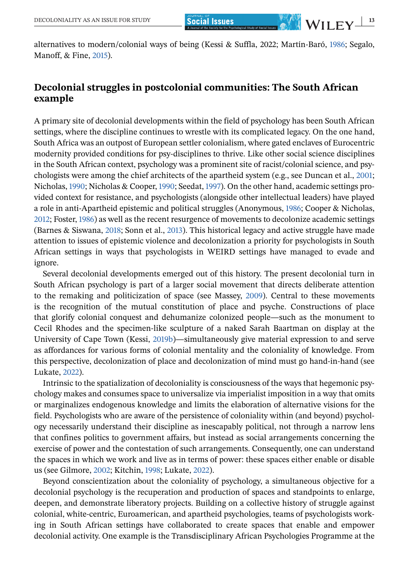alternatives to modern/colonial ways of being (Kessi & Suffla, 2022; Martín-Baró, [1986;](#page-16-0) Segalo, Manoff, & Fine, [2015\)](#page-17-0).

## **Decolonial struggles in postcolonial communities: The South African example**

A primary site of decolonial developments within the field of psychology has been South African settings, where the discipline continues to wrestle with its complicated legacy. On the one hand, South Africa was an outpost of European settler colonialism, where gated enclaves of Eurocentric modernity provided conditions for psy-disciplines to thrive. Like other social science disciplines in the South African context, psychology was a prominent site of racist/colonial science, and psychologists were among the chief architects of the apartheid system (e.g., see Duncan et al., [2001;](#page-15-0) Nicholas, [1990;](#page-17-0) Nicholas & Cooper, [1990;](#page-17-0) Seedat, [1997\)](#page-17-0). On the other hand, academic settings provided context for resistance, and psychologists (alongside other intellectual leaders) have played a role in anti-Apartheid epistemic and political struggles (Anonymous, [1986;](#page-14-0) Cooper & Nicholas, [2012;](#page-15-0) Foster, [1986\)](#page-15-0) as well as the recent resurgence of movements to decolonize academic settings (Barnes & Siswana, [2018;](#page-14-0) Sonn et al., [2013\)](#page-18-0). This historical legacy and active struggle have made attention to issues of epistemic violence and decolonization a priority for psychologists in South African settings in ways that psychologists in WEIRD settings have managed to evade and ignore.

Several decolonial developments emerged out of this history. The present decolonial turn in South African psychology is part of a larger social movement that directs deliberate attention to the remaking and politicization of space (see Massey, [2009\)](#page-16-0). Central to these movements is the recognition of the mutual constitution of place and psyche. Constructions of place that glorify colonial conquest and dehumanize colonized people—such as the monument to Cecil Rhodes and the specimen-like sculpture of a naked Sarah Baartman on display at the University of Cape Town (Kessi, [2019b\)](#page-16-0)—simultaneously give material expression to and serve as affordances for various forms of colonial mentality and the coloniality of knowledge. From this perspective, decolonization of place and decolonization of mind must go hand-in-hand (see Lukate, [2022\)](#page-16-0).

Intrinsic to the spatialization of decoloniality is consciousness of the ways that hegemonic psychology makes and consumes space to universalize via imperialist imposition in a way that omits or marginalizes endogenous knowledge and limits the elaboration of alternative visions for the field. Psychologists who are aware of the persistence of coloniality within (and beyond) psychology necessarily understand their discipline as inescapably political, not through a narrow lens that confines politics to government affairs, but instead as social arrangements concerning the exercise of power and the contestation of such arrangements. Consequently, one can understand the spaces in which we work and live as in terms of power: these spaces either enable or disable us (see Gilmore, [2002;](#page-15-0) Kitchin, [1998;](#page-16-0) Lukate, [2022\)](#page-16-0).

Beyond conscientization about the coloniality of psychology, a simultaneous objective for a decolonial psychology is the recuperation and production of spaces and standpoints to enlarge, deepen, and demonstrate liberatory projects. Building on a collective history of struggle against colonial, white-centric, Euroamerican, and apartheid psychologies, teams of psychologists working in South African settings have collaborated to create spaces that enable and empower decolonial activity. One example is the Transdisciplinary African Psychologies Programme at the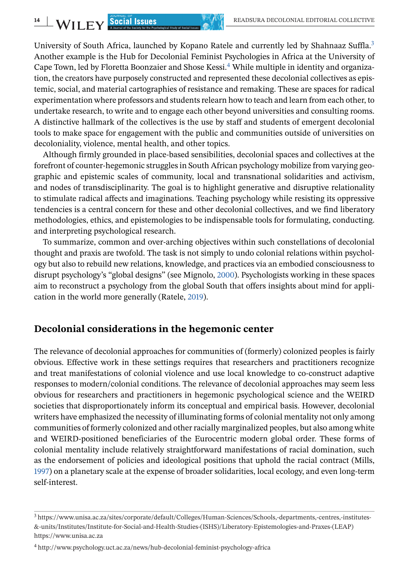University of South Africa, launched by Kopano Ratele and currently led by Shahnaaz Suffla.<sup>3</sup> Another example is the Hub for Decolonial Feminist Psychologies in Africa at the University of Cape Town, led by Floretta Boonzaier and Shose Kessi.<sup>4</sup> While multiple in identity and organization, the creators have purposely constructed and represented these decolonial collectives as epistemic, social, and material cartographies of resistance and remaking. These are spaces for radical experimentation where professors and students relearn how to teach and learn from each other, to undertake research, to write and to engage each other beyond universities and consulting rooms. A distinctive hallmark of the collectives is the use by staff and students of emergent decolonial tools to make space for engagement with the public and communities outside of universities on decoloniality, violence, mental health, and other topics.

Although firmly grounded in place-based sensibilities, decolonial spaces and collectives at the forefront of counter-hegemonic struggles in South African psychology mobilize from varying geographic and epistemic scales of community, local and transnational solidarities and activism, and nodes of transdisciplinarity. The goal is to highlight generative and disruptive relationality to stimulate radical affects and imaginations. Teaching psychology while resisting its oppressive tendencies is a central concern for these and other decolonial collectives, and we find liberatory methodologies, ethics, and epistemologies to be indispensable tools for formulating, conducting. and interpreting psychological research.

To summarize, common and over-arching objectives within such constellations of decolonial thought and praxis are twofold. The task is not simply to undo colonial relations within psychology but also to rebuild new relations, knowledge, and practices via an embodied consciousness to disrupt psychology's "global designs" (see Mignolo, [2000\)](#page-16-0). Psychologists working in these spaces aim to reconstruct a psychology from the global South that offers insights about mind for application in the world more generally (Ratele, [2019\)](#page-17-0).

#### **Decolonial considerations in the hegemonic center**

The relevance of decolonial approaches for communities of (formerly) colonized peoples is fairly obvious. Effective work in these settings requires that researchers and practitioners recognize and treat manifestations of colonial violence and use local knowledge to co-construct adaptive responses to modern/colonial conditions. The relevance of decolonial approaches may seem less obvious for researchers and practitioners in hegemonic psychological science and the WEIRD societies that disproportionately inform its conceptual and empirical basis. However, decolonial writers have emphasized the necessity of illuminating forms of colonial mentality not only among communities of formerly colonized and other racially marginalized peoples, but also among white and WEIRD-positioned beneficiaries of the Eurocentric modern global order. These forms of colonial mentality include relatively straightforward manifestations of racial domination, such as the endorsement of policies and ideological positions that uphold the racial contract (Mills, [1997\)](#page-16-0) on a planetary scale at the expense of broader solidarities, local ecology, and even long-term self-interest.

<sup>3</sup> https://www.unisa.ac.za/sites/corporate/default/Colleges/Human-Sciences/Schools,-departments,-centres,-institutes- &-units/Institutes/Institute-for-Social-and-Health-Studies-(ISHS)/Liberatory-Epistemologies-and-Praxes-(LEAP) https://www.unisa.ac.za

<sup>4</sup> http://www.psychology.uct.ac.za/news/hub-decolonial-feminist-psychology-africa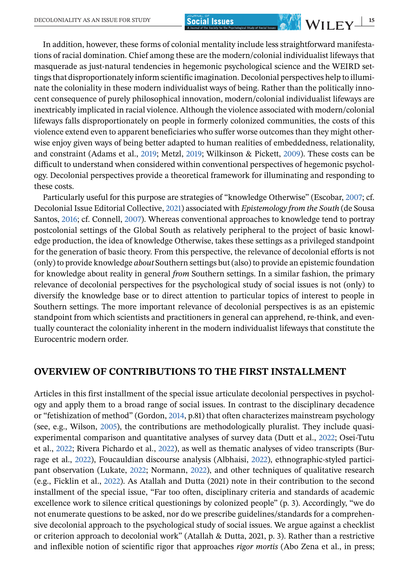In addition, however, these forms of colonial mentality include less straightforward manifestations of racial domination. Chief among these are the modern/colonial individualist lifeways that masquerade as just-natural tendencies in hegemonic psychological science and the WEIRD settings that disproportionately inform scientific imagination. Decolonial perspectives help to illuminate the coloniality in these modern individualist ways of being. Rather than the politically innocent consequence of purely philosophical innovation, modern/colonial individualist lifeways are inextricably implicated in racial violence. Although the violence associated with modern/colonial lifeways falls disproportionately on people in formerly colonized communities, the costs of this violence extend even to apparent beneficiaries who suffer worse outcomes than they might otherwise enjoy given ways of being better adapted to human realities of embeddedness, relationality, and constraint (Adams et al., [2019;](#page-14-0) Metzl, [2019;](#page-16-0) Wilkinson & Pickett, [2009\)](#page-18-0). These costs can be difficult to understand when considered within conventional perspectives of hegemonic psychology. Decolonial perspectives provide a theoretical framework for illuminating and responding to these costs.

Particularly useful for this purpose are strategies of "knowledge Otherwise" (Escobar, [2007;](#page-15-0) cf. Decolonial Issue Editorial Collective, [2021\)](#page-15-0) associated with *Epistemology from the South* (de Sousa Santos, [2016;](#page-15-0) cf. Connell, [2007\)](#page-15-0). Whereas conventional approaches to knowledge tend to portray postcolonial settings of the Global South as relatively peripheral to the project of basic knowledge production, the idea of knowledge Otherwise, takes these settings as a privileged standpoint for the generation of basic theory. From this perspective, the relevance of decolonial efforts is not (only) to provide knowledge *about* Southern settings but (also) to provide an epistemic foundation for knowledge about reality in general *from* Southern settings. In a similar fashion, the primary relevance of decolonial perspectives for the psychological study of social issues is not (only) to diversify the knowledge base or to direct attention to particular topics of interest to people in Southern settings. The more important relevance of decolonial perspectives is as an epistemic standpoint from which scientists and practitioners in general can apprehend, re-think, and eventually counteract the coloniality inherent in the modern individualist lifeways that constitute the Eurocentric modern order.

#### **OVERVIEW OF CONTRIBUTIONS TO THE FIRST INSTALLMENT**

Articles in this first installment of the special issue articulate decolonial perspectives in psychology and apply them to a broad range of social issues. In contrast to the disciplinary decadence or "fetishization of method" (Gordon, [2014,](#page-15-0) p.81) that often characterizes mainstream psychology (see, e.g., Wilson, [2005\)](#page-18-0), the contributions are methodologically pluralist. They include quasiexperimental comparison and quantitative analyses of survey data (Dutt et al., [2022;](#page-15-0) Osei-Tutu et al., [2022;](#page-17-0) Rivera Pichardo et al., [2022\)](#page-17-0), as well as thematic analyses of video transcripts (Burrage et al., [2022\)](#page-14-0), Foucauldian discourse analysis (Albhaisi, [2022\)](#page-14-0), ethnographic-styled participant observation (Lukate, [2022;](#page-16-0) Normann, [2022\)](#page-17-0), and other techniques of qualitative research (e.g., Ficklin et al., [2022\)](#page-15-0). As Atallah and Dutta (2021) note in their contribution to the second installment of the special issue, "Far too often, disciplinary criteria and standards of academic excellence work to silence critical questionings by colonized people" (p. 3). Accordingly, "we do not enumerate questions to be asked, nor do we prescribe guidelines/standards for a comprehensive decolonial approach to the psychological study of social issues. We argue against a checklist or criterion approach to decolonial work" (Atallah & Dutta, 2021, p. 3). Rather than a restrictive and inflexible notion of scientific rigor that approaches *rigor mortis* (Abo Zena et al., in press;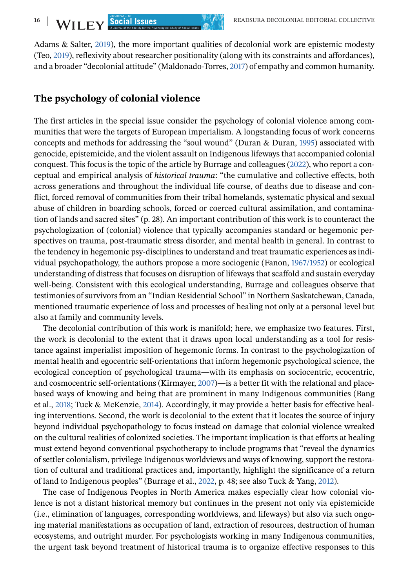Adams & Salter, [2019\)](#page-14-0), the more important qualities of decolonial work are epistemic modesty (Teo, [2019\)](#page-18-0), reflexivity about researcher positionality (along with its constraints and affordances), and a broader "decolonial attitude" (Maldonado-Torres, [2017\)](#page-16-0) of empathy and common humanity.

## **The psychology of colonial violence**

The first articles in the special issue consider the psychology of colonial violence among communities that were the targets of European imperialism. A longstanding focus of work concerns concepts and methods for addressing the "soul wound" (Duran & Duran, [1995\)](#page-15-0) associated with genocide, epistemicide, and the violent assault on Indigenous lifeways that accompanied colonial conquest. This focus is the topic of the article by Burrage and colleagues [\(2022\)](#page-14-0), who report a conceptual and empirical analysis of *historical trauma*: "the cumulative and collective effects, both across generations and throughout the individual life course, of deaths due to disease and conflict, forced removal of communities from their tribal homelands, systematic physical and sexual abuse of children in boarding schools, forced or coerced cultural assimilation, and contamination of lands and sacred sites" (p. 28). An important contribution of this work is to counteract the psychologization of (colonial) violence that typically accompanies standard or hegemonic perspectives on trauma, post-traumatic stress disorder, and mental health in general. In contrast to the tendency in hegemonic psy-disciplines to understand and treat traumatic experiences as individual psychopathology, the authors propose a more sociogenic (Fanon, [1967/1952\)](#page-15-0) or ecological understanding of distress that focuses on disruption of lifeways that scaffold and sustain everyday well-being. Consistent with this ecological understanding, Burrage and colleagues observe that testimonies of survivors from an "Indian Residential School" in Northern Saskatchewan, Canada, mentioned traumatic experience of loss and processes of healing not only at a personal level but also at family and community levels.

The decolonial contribution of this work is manifold; here, we emphasize two features. First, the work is decolonial to the extent that it draws upon local understanding as a tool for resistance against imperialist imposition of hegemonic forms. In contrast to the psychologization of mental health and egocentric self-orientations that inform hegemonic psychological science, the ecological conception of psychological trauma—with its emphasis on sociocentric, ecocentric, and cosmocentric self-orientations (Kirmayer, [2007\)](#page-16-0)—is a better fit with the relational and placebased ways of knowing and being that are prominent in many Indigenous communities (Bang et al., [2018;](#page-14-0) Tuck & McKenzie, [2014\)](#page-18-0). Accordingly, it may provide a better basis for effective healing interventions. Second, the work is decolonial to the extent that it locates the source of injury beyond individual psychopathology to focus instead on damage that colonial violence wreaked on the cultural realities of colonized societies. The important implication is that efforts at healing must extend beyond conventional psychotherapy to include programs that "reveal the dynamics of settler colonialism, privilege Indigenous worldviews and ways of knowing, support the restoration of cultural and traditional practices and, importantly, highlight the significance of a return of land to Indigenous peoples" (Burrage et al., [2022,](#page-14-0) p. 48; see also Tuck & Yang, [2012\)](#page-18-0).

The case of Indigenous Peoples in North America makes especially clear how colonial violence is not a distant historical memory but continues in the present not only via epistemicide (i.e., elimination of languages, corresponding worldviews, and lifeways) but also via such ongoing material manifestations as occupation of land, extraction of resources, destruction of human ecosystems, and outright murder. For psychologists working in many Indigenous communities, the urgent task beyond treatment of historical trauma is to organize effective responses to this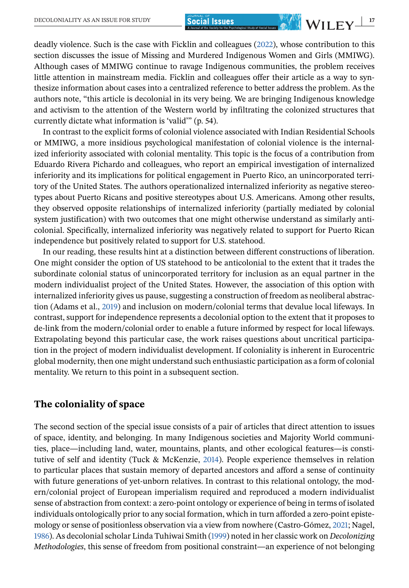deadly violence. Such is the case with Ficklin and colleagues [\(2022\)](#page-15-0), whose contribution to this section discusses the issue of Missing and Murdered Indigenous Women and Girls (MMIWG). Although cases of MMIWG continue to ravage Indigenous communities, the problem receives little attention in mainstream media. Ficklin and colleagues offer their article as a way to synthesize information about cases into a centralized reference to better address the problem. As the authors note, "this article is decolonial in its very being. We are bringing Indigenous knowledge and activism to the attention of the Western world by infiltrating the colonized structures that currently dictate what information is 'valid'" (p. 54).

In contrast to the explicit forms of colonial violence associated with Indian Residential Schools or MMIWG, a more insidious psychological manifestation of colonial violence is the internalized inferiority associated with colonial mentality. This topic is the focus of a contribution from Eduardo Rivera Pichardo and colleagues, who report an empirical investigation of internalized inferiority and its implications for political engagement in Puerto Rico, an unincorporated territory of the United States. The authors operationalized internalized inferiority as negative stereotypes about Puerto Ricans and positive stereotypes about U.S. Americans. Among other results, they observed opposite relationships of internalized inferiority (partially mediated by colonial system justification) with two outcomes that one might otherwise understand as similarly anticolonial. Specifically, internalized inferiority was negatively related to support for Puerto Rican independence but positively related to support for U.S. statehood.

In our reading, these results hint at a distinction between different constructions of liberation. One might consider the option of US statehood to be anticolonial to the extent that it trades the subordinate colonial status of unincorporated territory for inclusion as an equal partner in the modern individualist project of the United States. However, the association of this option with internalized inferiority gives us pause, suggesting a construction of freedom as neoliberal abstraction (Adams et al., [2019\)](#page-14-0) and inclusion on modern/colonial terms that devalue local lifeways. In contrast, support for independence represents a decolonial option to the extent that it proposes to de-link from the modern/colonial order to enable a future informed by respect for local lifeways. Extrapolating beyond this particular case, the work raises questions about uncritical participation in the project of modern individualist development. If coloniality is inherent in Eurocentric global modernity, then one might understand such enthusiastic participation as a form of colonial mentality. We return to this point in a subsequent section.

## **The coloniality of space**

The second section of the special issue consists of a pair of articles that direct attention to issues of space, identity, and belonging. In many Indigenous societies and Majority World communities, place—including land, water, mountains, plants, and other ecological features—is constitutive of self and identity (Tuck & McKenzie, [2014\)](#page-18-0). People experience themselves in relation to particular places that sustain memory of departed ancestors and afford a sense of continuity with future generations of yet-unborn relatives. In contrast to this relational ontology, the modern/colonial project of European imperialism required and reproduced a modern individualist sense of abstraction from context: a zero-point ontology or experience of being in terms of isolated individuals ontologically prior to any social formation, which in turn afforded a zero-point epistemology or sense of positionless observation via a view from nowhere (Castro-Gómez, [2021;](#page-14-0) Nagel, [1986\)](#page-16-0). As decolonial scholar Linda Tuhiwai Smith [\(1999\)](#page-18-0) noted in her classic work on *Decolonizing Methodologies*, this sense of freedom from positional constraint—an experience of not belonging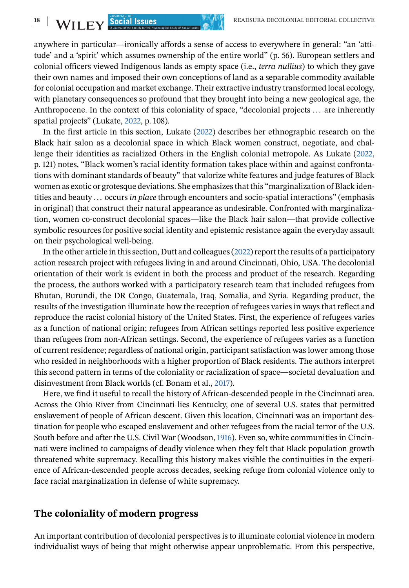anywhere in particular—ironically affords a sense of access to everywhere in general: "an 'attitude' and a 'spirit' which assumes ownership of the entire world" (p. 56). European settlers and colonial officers viewed Indigenous lands as empty space (i.e., *terra nullius*) to which they gave their own names and imposed their own conceptions of land as a separable commodity available for colonial occupation and market exchange. Their extractive industry transformed local ecology, with planetary consequences so profound that they brought into being a new geological age, the Anthropocene. In the context of this coloniality of space, "decolonial projects ... are inherently spatial projects" (Lukate, [2022,](#page-16-0) p. 108).

In the first article in this section, Lukate [\(2022\)](#page-16-0) describes her ethnographic research on the Black hair salon as a decolonial space in which Black women construct, negotiate, and challenge their identities as racialized Others in the English colonial metropole. As Lukate [\(2022,](#page-16-0) p. 121) notes, "Black women's racial identity formation takes place within and against confrontations with dominant standards of beauty" that valorize white features and judge features of Black women as exotic or grotesque deviations. She emphasizes that this "marginalization of Black identities and beauty ... occurs *in place* through encounters and socio-spatial interactions" (emphasis in original) that construct their natural appearance as undesirable. Confronted with marginalization, women co-construct decolonial spaces—like the Black hair salon—that provide collective symbolic resources for positive social identity and epistemic resistance again the everyday assault on their psychological well-being.

In the other article in this section, Dutt and colleagues [\(2022\)](#page-15-0) report the results of a participatory action research project with refugees living in and around Cincinnati, Ohio, USA. The decolonial orientation of their work is evident in both the process and product of the research. Regarding the process, the authors worked with a participatory research team that included refugees from Bhutan, Burundi, the DR Congo, Guatemala, Iraq, Somalia, and Syria. Regarding product, the results of the investigation illuminate how the reception of refugees varies in ways that reflect and reproduce the racist colonial history of the United States. First, the experience of refugees varies as a function of national origin; refugees from African settings reported less positive experience than refugees from non-African settings. Second, the experience of refugees varies as a function of current residence; regardless of national origin, participant satisfaction was lower among those who resided in neighborhoods with a higher proportion of Black residents. The authors interpret this second pattern in terms of the coloniality or racialization of space—societal devaluation and disinvestment from Black worlds (cf. Bonam et al., [2017\)](#page-14-0).

Here, we find it useful to recall the history of African-descended people in the Cincinnati area. Across the Ohio River from Cincinnati lies Kentucky, one of several U.S. states that permitted enslavement of people of African descent. Given this location, Cincinnati was an important destination for people who escaped enslavement and other refugees from the racial terror of the U.S. South before and after the U.S. Civil War (Woodson, [1916\)](#page-18-0). Even so, white communities in Cincinnati were inclined to campaigns of deadly violence when they felt that Black population growth threatened white supremacy. Recalling this history makes visible the continuities in the experience of African-descended people across decades, seeking refuge from colonial violence only to face racial marginalization in defense of white supremacy.

#### **The coloniality of modern progress**

An important contribution of decolonial perspectives is to illuminate colonial violence in modern individualist ways of being that might otherwise appear unproblematic. From this perspective,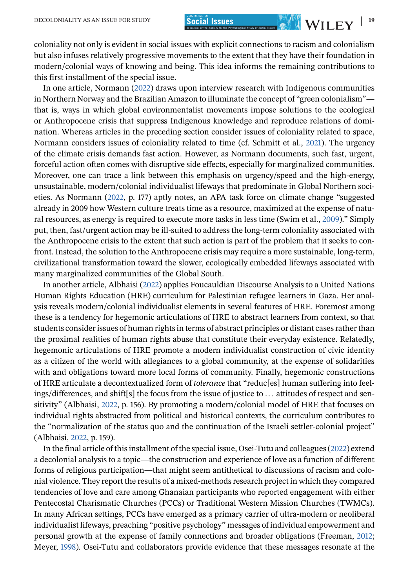coloniality not only is evident in social issues with explicit connections to racism and colonialism but also infuses relatively progressive movements to the extent that they have their foundation in modern/colonial ways of knowing and being. This idea informs the remaining contributions to this first installment of the special issue.

In one article, Normann [\(2022\)](#page-17-0) draws upon interview research with Indigenous communities in Northern Norway and the Brazilian Amazon to illuminate the concept of "green colonialism" that is, ways in which global environmentalist movements impose solutions to the ecological or Anthropocene crisis that suppress Indigenous knowledge and reproduce relations of domination. Whereas articles in the preceding section consider issues of coloniality related to space, Normann considers issues of coloniality related to time (cf. Schmitt et al., [2021\)](#page-17-0). The urgency of the climate crisis demands fast action. However, as Normann documents, such fast, urgent, forceful action often comes with disruptive side effects, especially for marginalized communities. Moreover, one can trace a link between this emphasis on urgency/speed and the high-energy, unsustainable, modern/colonial individualist lifeways that predominate in Global Northern societies. As Normann [\(2022,](#page-17-0) p. 177) aptly notes, an APA task force on climate change "suggested already in 2009 how Western culture treats time as a resource, maximized at the expense of natural resources, as energy is required to execute more tasks in less time (Swim et al., [2009\)](#page-18-0)." Simply put, then, fast/urgent action may be ill-suited to address the long-term coloniality associated with the Anthropocene crisis to the extent that such action is part of the problem that it seeks to confront. Instead, the solution to the Anthropocene crisis may require a more sustainable, long-term, civilizational transformation toward the slower, ecologically embedded lifeways associated with many marginalized communities of the Global South.

In another article, Albhaisi [\(2022\)](#page-14-0) applies Foucauldian Discourse Analysis to a United Nations Human Rights Education (HRE) curriculum for Palestinian refugee learners in Gaza. Her analysis reveals modern/colonial individualist elements in several features of HRE. Foremost among these is a tendency for hegemonic articulations of HRE to abstract learners from context, so that students consider issues of human rights in terms of abstract principles or distant cases rather than the proximal realities of human rights abuse that constitute their everyday existence. Relatedly, hegemonic articulations of HRE promote a modern individualist construction of civic identity as a citizen of the world with allegiances to a global community, at the expense of solidarities with and obligations toward more local forms of community. Finally, hegemonic constructions of HRE articulate a decontextualized form of *tolerance* that "reduc[es] human suffering into feelings/differences, and shift[s] the focus from the issue of justice to ... attitudes of respect and sensitivity" (Albhaisi, [2022,](#page-14-0) p. 156). By promoting a modern/colonial model of HRE that focuses on individual rights abstracted from political and historical contexts, the curriculum contributes to the "normalization of the status quo and the continuation of the Israeli settler-colonial project" (Albhaisi, [2022,](#page-14-0) p. 159).

In the final article of this installment of the special issue, Osei-Tutu and colleagues [\(2022\)](#page-17-0) extend a decolonial analysis to a topic—the construction and experience of love as a function of different forms of religious participation—that might seem antithetical to discussions of racism and colonial violence. They report the results of a mixed-methods research project in which they compared tendencies of love and care among Ghanaian participants who reported engagement with either Pentecostal Charismatic Churches (PCCs) or Traditional Western Mission Churches (TWMCs). In many African settings, PCCs have emerged as a primary carrier of ultra-modern or neoliberal individualist lifeways, preaching "positive psychology" messages of individual empowerment and personal growth at the expense of family connections and broader obligations (Freeman, [2012;](#page-15-0) Meyer, [1998\)](#page-16-0). Osei-Tutu and collaborators provide evidence that these messages resonate at the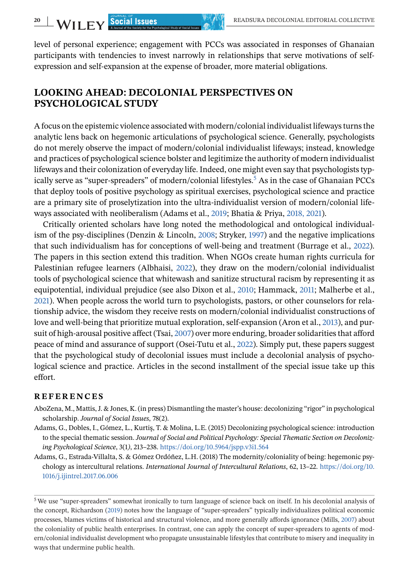<span id="page-13-0"></span>level of personal experience; engagement with PCCs was associated in responses of Ghanaian participants with tendencies to invest narrowly in relationships that serve motivations of selfexpression and self-expansion at the expense of broader, more material obligations.

## **LOOKING AHEAD: DECOLONIAL PERSPECTIVES ON PSYCHOLOGICAL STUDY**

A focus on the epistemic violence associated with modern/colonial individualist lifeways turns the analytic lens back on hegemonic articulations of psychological science. Generally, psychologists do not merely observe the impact of modern/colonial individualist lifeways; instead, knowledge and practices of psychological science bolster and legitimize the authority of modern individualist lifeways and their colonization of everyday life. Indeed, one might even say that psychologists typically serve as "super-spreaders" of modern/colonial lifestyles.<sup>5</sup> As in the case of Ghanaian PCCs that deploy tools of positive psychology as spiritual exercises, psychological science and practice are a primary site of proselytization into the ultra-individualist version of modern/colonial lifeways associated with neoliberalism (Adams et al., [2019;](#page-14-0) Bhatia & Priya, [2018, 2021\)](#page-14-0).

Critically oriented scholars have long noted the methodological and ontological individualism of the psy-disciplines (Denzin & Lincoln, [2008;](#page-15-0) Stryker, [1997\)](#page-18-0) and the negative implications that such individualism has for conceptions of well-being and treatment (Burrage et al., [2022\)](#page-14-0). The papers in this section extend this tradition. When NGOs create human rights curricula for Palestinian refugee learners (Albhaisi, [2022\)](#page-14-0), they draw on the modern/colonial individualist tools of psychological science that whitewash and sanitize structural racism by representing it as equipotential, individual prejudice (see also Dixon et al., [2010;](#page-15-0) Hammack, [2011;](#page-15-0) Malherbe et al., [2021\)](#page-16-0). When people across the world turn to psychologists, pastors, or other counselors for relationship advice, the wisdom they receive rests on modern/colonial individualist constructions of love and well-being that prioritize mutual exploration, self-expansion (Aron et al., [2013\)](#page-14-0), and pursuit of high-arousal positive affect (Tsai, [2007\)](#page-18-0) over more enduring, broader solidarities that afford peace of mind and assurance of support (Osei-Tutu et al., [2022\)](#page-17-0). Simply put, these papers suggest that the psychological study of decolonial issues must include a decolonial analysis of psychological science and practice. Articles in the second installment of the special issue take up this effort.

#### **REFERENCES**

- AboZena, M., Mattis, J. & Jones, K. (in press) Dismantling the master's house: decolonizing "rigor" in psychological scholarship. *Journal of Social Issues*, 78(2).
- Adams, G., Dobles, I., Gómez, L., Kurtiş, T. & Molina, L.E. (2015) Decolonizing psychological science: introduction to the special thematic session. *Journal of Social and Political Psychology: Special Thematic Section on Decolonizing Psychological Science*, 3(1*)*, 213–238. <https://doi.org/10.5964/jspp.v3i1.564>
- Adams, G., Estrada-Villalta, S. & Gómez Ordóñez, L.H. (2018) The modernity/coloniality of being: hegemonic psychology as intercultural relations. *International Journal of Intercultural Relations*, 62, 13–22. [https://doi.org/10.](https://doi.org/10.1016/j.ijintrel.2017.06.006) [1016/j.ijintrel.2017.06.006](https://doi.org/10.1016/j.ijintrel.2017.06.006)

<sup>&</sup>lt;sup>5</sup> We use "super-spreaders" somewhat ironically to turn language of science back on itself. In his decolonial analysis of the concept, Richardson [\(2019\)](#page-17-0) notes how the language of "super-spreaders" typically individualizes political economic processes, blames victims of historical and structural violence, and more generally affords ignorance (Mills, [2007\)](#page-16-0) about the coloniality of public health enterprises. In contrast, one can apply the concept of super-spreaders to agents of modern/colonial individualist development who propagate unsustainable lifestyles that contribute to misery and inequality in ways that undermine public health.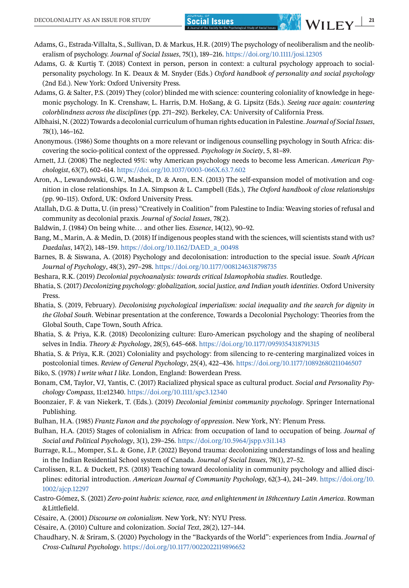- <span id="page-14-0"></span>Adams, G., Estrada-Villalta, S., Sullivan, D. & Markus, H.R. (2019) The psychology of neoliberalism and the neoliberalism of psychology. *Journal of Social Issues*, 75(1), 189–216. <https://doi.org/10.1111/josi.12305>
- Adams, G. & Kurtiş T. (2018) Context in person, person in context: a cultural psychology approach to socialpersonality psychology. In K. Deaux & M. Snyder (Eds.) *Oxford handbook of personality and social psychology* (2nd Ed.). New York: Oxford University Press.
- Adams, G. & Salter, P.S. (2019) They (color) blinded me with science: countering coloniality of knowledge in hegemonic psychology. In K. Crenshaw, L. Harris, D.M. HoSang, & G. Lipsitz (Eds.). *Seeing race again: countering colorblindness across the disciplines* (pp. 271–292). Berkeley, CA: University of California Press.
- Albhaisi, N. (2022) Towards a decolonial curriculum of human rights education in Palestine.*Journal of Social Issues*, 78(1), 146–162.
- Anonymous. (1986) Some thoughts on a more relevant or indigenous counselling psychology in South Africa: discovering the socio-political context of the oppressed. *Psychology in Society*, 5, 81–89.
- Arnett, J.J. (2008) The neglected 95%: why American psychology needs to become less American. *American Psychologist*, 63(7), 602–614. <https://doi.org/10.1037/0003-066X.63.7.602>
- Aron, A., Lewandowski, G.W., Mashek, D. & Aron, E.N. (2013) The self-expansion model of motivation and cognition in close relationships. In J.A. Simpson & L. Campbell (Eds.), *The Oxford handbook of close relationships* (pp. 90–115). Oxford, UK: Oxford University Press.
- Atallah, D.G. & Dutta, U. (in press) "Creatively in Coalition" from Palestine to India: Weaving stories of refusal and community as decolonial praxis. *Journal of Social Issues*, 78(2).
- Baldwin, J. (1984) On being white... and other lies. *Essence*, 14(12), 90–92.
- Bang, M., Marin, A. & Medin, D. (2018) If indigenous peoples stand with the sciences, will scientists stand with us? *Daedalus*, 147(2), 148–159. [https://doi.org/10.1162/DAED\\_a\\_00498](https://doi.org/10.1162/DAED_a_00498)
- Barnes, B. & Siswana, A. (2018) Psychology and decolonisation: introduction to the special issue. *South African Journal of Psychology*, 48(3), 297–298. <https://doi.org/10.1177/0081246318798735>
- Beshara, R.K. (2019) *Decolonial psychoanalysis: towards critical Islamophobia studies*. Routledge.
- Bhatia, S. (2017) *Decolonizing psychology: globalization, social justice, and Indian youth identities*. Oxford University Press.
- Bhatia, S. (2019, February). *Decolonising psychological imperialism: social inequality and the search for dignity in the Global South*. Webinar presentation at the conference, Towards a Decolonial Psychology: Theories from the Global South, Cape Town, South Africa.
- Bhatia, S. & Priya, K.R. (2018) Decolonizing culture: Euro-American psychology and the shaping of neoliberal selves in India. *Theory & Psychology*, 28(5), 645–668. <https://doi.org/10.1177/0959354318791315>
- Bhatia, S. & Priya, K.R. (2021) Coloniality and psychology: from silencing to re-centering marginalized voices in postcolonial times. *Review of General Psychology*, 25(4), 422–436. <https://doi.org/10.1177/10892680211046507>
- Biko, S. (1978) *I write what I like*. London, England: Bowerdean Press.
- Bonam, CM, Taylor, VJ, Yantis, C. (2017) Racialized physical space as cultural product. *Social and Personality Psychology Compass*, 11:e12340. <https://doi.org/10.1111/spc3.12340>
- Boonzaier, F. & van Niekerk, T. (Eds.). (2019) *Decolonial feminist community psychology*. Springer International Publishing.
- Bulhan, H.A. (1985) *Frantz Fanon and the psychology of oppression*. New York, NY: Plenum Press.
- Bulhan, H.A. (2015) Stages of colonialism in Africa: from occupation of land to occupation of being. *Journal of Social and Political Psychology*, 3(1), 239–256. <https://doi.org/10.5964/jspp.v3i1.143>
- Burrage, R.L., Momper, S.L. & Gone, J.P. (2022) Beyond trauma: decolonizing understandings of loss and healing in the Indian Residential School system of Canada. *Journal of Social Issues*, 78(1), 27–52.
- Carolissen, R.L. & Duckett, P.S. (2018) Teaching toward decoloniality in community psychology and allied disciplines: editorial introduction. *American Journal of Community Psychology*, 62(3-4), 241–249. [https://doi.org/10.](https://doi.org/10.1002/ajcp.12297) [1002/ajcp.12297](https://doi.org/10.1002/ajcp.12297)
- Castro-Gómez, S. (2021) *Zero-point hubris: science, race, and enlightenment in 18thcentury Latin America*. Rowman &Littlefield.
- Césaire, A. (2001) *Discourse on colonialism*. New York, NY: NYU Press.
- Césaire, A. (2010) Culture and colonization. *Social Text*, 28(2), 127–144.
- Chaudhary, N. & Sriram, S. (2020) Psychology in the "Backyards of the World": experiences from India. *Journal of Cross-Cultural Psychology*. <https://doi.org/10.1177/0022022119896652>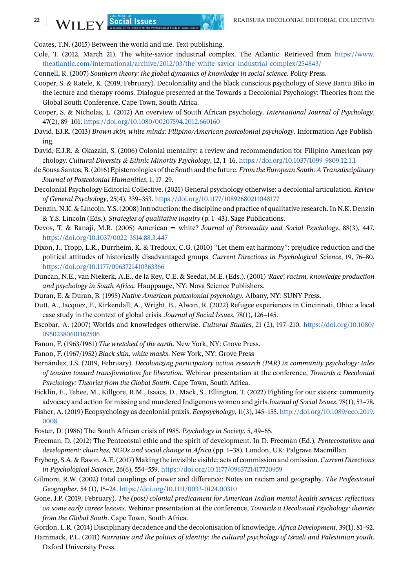Coates, T.N. (2015) Between the world and me. Text publishing.

- Cole, T. (2012, March 21). The white-savior industrial complex. The Atlantic. Retrieved from [https://www.](https://www.theatlantic.com/international/archive/2012/03/the-white-savior-industrial-complex/254843/) [theatlantic.com/international/archive/2012/03/the-white-savior-industrial-complex/254843/](https://www.theatlantic.com/international/archive/2012/03/the-white-savior-industrial-complex/254843/)
- Connell, R. (2007) *Southern theory: the global dynamics of knowledge in social science*. Polity Press.
- Cooper, S. & Ratele, K. (2019, February). Decoloniality and the black conscious psychology of Steve Bantu Biko in the lecture and therapy rooms. Dialogue presented at the Towards a Decolonial Psychology: Theories from the Global South Conference, Cape Town, South Africa.
- Cooper, S. & Nicholas, L. (2012) An overview of South African psychology. *International Journal of Psychology*, 47(2), 89–101. <https://doi.org/10.1080/00207594.2012.660160>
- David, EJ.R. (2013) *Brown skin, white minds: Filipino/American postcolonial psychology*. Information Age Publishing.
- David, E.J.R. & Okazaki, S. (2006) Colonial mentality: a review and recommendation for Filipino American psychology. *Cultural Diversity & Ethnic Minority Psychology*, 12, 1–16. <https://doi.org/10.1037/1099-9809.12.1.1>
- de Sousa Santos, B. (2016) Epistemologies of the South and the future. *From the European South: A Transdisciplinary Journal of Postcolonial Humanities*, 1, 17–29.
- Decolonial Psychology Editorial Collective. (2021) General psychology otherwise: a decolonial articulation. *Review of General Psychology*, 25(4), 339–353. <https://doi.org/10.1177/10892680211048177>
- Denzin, N.K. & Lincoln, Y.S. (2008) Introduction: the discipline and practice of qualitative research. In N.K. Denzin & Y.S. Lincoln (Eds.), *Strategies of qualitative inquiry* (p. 1–43). Sage Publications.
- Devos, T. & Banaji, M.R. (2005) American = white? *Journal of Personality and Social Psychology*, 88(3), 447. <https://doi.org/10.1037/0022-3514.88.3.447>
- Dixon, J., Tropp, L.R., Durrheim, K. & Tredoux, C.G. (2010) "Let them eat harmony": prejudice reduction and the political attitudes of historically disadvantaged groups. *Current Directions in Psychological Science*, 19, 76–80. <https://doi.org/10.1177/0963721410363366>
- Duncan, N.E., van Niekerk, A.E., de la Rey, C.E. & Seedat, M.E. (Eds.). (2001) *'Race', racism, knowledge production and psychology in South Africa*. Hauppauge, NY: Nova Science Publishers.
- Duran, E. & Duran, B. (1995) *Native American postcolonial psychology*. Albany, NY: SUNY Press.
- Dutt, A., Jacquez, F., Kirkendall, A., Wright, B., Alwan, R. (2022) Refugee experiences in Cincinnati, Ohio: a local case study in the context of global crisis. *Journal of Social Issues*, 78(1), 126–145.
- Escobar, A. (2007) Worlds and knowledges otherwise. *Cultural Studies*, 21 (2), 197–210. [https://doi.org/10.1080/](https://doi.org/10.1080/09502380601162506) [09502380601162506](https://doi.org/10.1080/09502380601162506)
- Fanon, F. (1963/1961) *The wretched of the earth*. New York, NY: Grove Press.
- Fanon, F. (1967/1952) *Black skin, white masks*. New York, NY: Grove Press
- Fernández, J.S. (2019, February). *Decolonizing participatory action research (PAR) in community psychology: tales of tension toward transformation for liberation*. Webinar presentation at the conference, *Towards a Decolonial Psychology: Theories from the Global South*. Cape Town, South Africa.
- Ficklin, E., Tehee, M., Killgore, R.M., Isaacs, D., Mack, S., Ellington, T. (2022) Fighting for our sisters: community advocacy and action for missing and murdered Indigenous women and girls*Journal of Social Issues*, 78(1), 53–78.
- Fisher, A. (2019) Ecopsychology as decolonial praxis. *Ecopsychology*, 11(3), 145–155. [http://doi.org/10.1089/eco.2019.](http://doi.org/10.1089/eco.2019.0008) [0008](http://doi.org/10.1089/eco.2019.0008)
- Foster, D. (1986) The South African crisis of 1985. *Psychology in Society*, 5, 49–65.
- Freeman, D. (2012) The Pentecostal ethic and the spirit of development. In D. Freeman (Ed.), *Pentecostalism and development: churches, NGOs and social change in Africa* (pp. 1–38). London, UK: Palgrave Macmillan.
- Fryberg, S.A. & Eason, A.E. (2017) Making the invisible visible: acts of commission and omission. *Current Directions in Psychological Science*, 26(6), 554–559. <https://doi.org/10.1177/0963721417720959>
- Gilmore, R.W. (2002) Fatal couplings of power and difference: Notes on racism and geography. *The Professional Geographer*, 54 (1), 15–24. <https://doi.org/10.1111/0033-0124.00310>
- Gone, J.P. (2019, February). *The (post) colonial predicament for American Indian mental health services: reflections on some early career lessons*. Webinar presentation at the conference, *Towards a Decolonial Psychology: theories from the Global South*. Cape Town, South Africa.
- Gordon, L.R. (2014) Disciplinary decadence and the decolonisation of knowledge. *Africa Development*, 39(1), 81–92.
- Hammack, P.L. (2011) *Narrative and the politics of identity: the cultural psychology of Israeli and Palestinian youth*. Oxford University Press.

<span id="page-15-0"></span>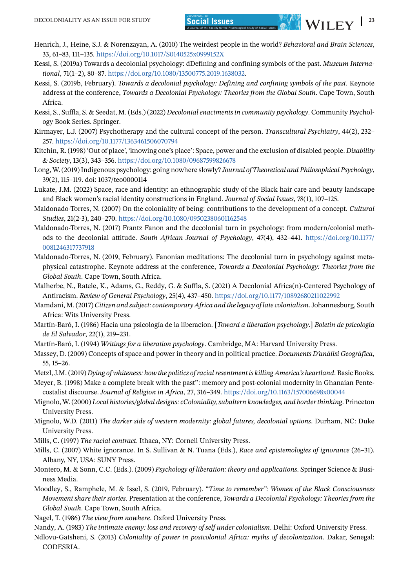- <span id="page-16-0"></span>Henrich, J., Heine, S.J. & Norenzayan, A. (2010) The weirdest people in the world? *Behavioral and Brain Sciences*, 33, 61–83, 111–135. <https://doi.org/10.1017/S0140525x0999152X>
- Kessi, S. (2019a) Towards a decolonial psychology: dDefining and confining symbols of the past. *Museum International*, 71(1–2), 80–87. [https://doi.org/10.1080/13500775.2019.1638032.](https://doi.org/10.1080/13500775.2019.1638032)
- Kessi, S. (2019b, February). *Towards a decolonial psychology: Defining and confining symbols of the past*. Keynote address at the conference, *Towards a Decolonial Psychology: Theories from the Global South*. Cape Town, South Africa.
- Kessi, S., Suffla, S. & Seedat, M. (Eds.) (2022) *Decolonial enactments in community psychology*. Community Psychology Book Series. Springer.
- Kirmayer, L.J. (2007) Psychotherapy and the cultural concept of the person. *Transcultural Psychiatry*, 44(2), 232– 257. <https://doi.org/10.1177/1363461506070794>
- Kitchin, R. (1998) 'Out of place', 'knowing one's place': Space, power and the exclusion of disabled people. *Disability & Society*, 13(3), 343–356. <https://doi.org/10.1080/09687599826678>
- Long, W. (2019) Indigenous psychology: going nowhere slowly? *Journal of Theoretical and Philosophical Psychology*, 39(2), 115–119. doi: 1037/teo0000114
- Lukate, J.M. (2022) Space, race and identity: an ethnographic study of the Black hair care and beauty landscape and Black women's racial identity constructions in England. *Journal of Social Issues*, 78(1), 107–125.
- Maldonado-Torres, N. (2007) On the coloniality of being: contributions to the development of a concept. *Cultural Studies*, 21(2-3), 240–270. <https://doi.org/10.1080/09502380601162548>
- Maldonado-Torres, N. (2017) Frantz Fanon and the decolonial turn in psychology: from modern/colonial methods to the decolonial attitude. *South African Journal of Psychology*, 47(4), 432–441. [https://doi.org/10.1177/](https://doi.org/10.1177/0081246317737918) [0081246317737918](https://doi.org/10.1177/0081246317737918)
- Maldonado-Torres, N. (2019, February). Fanonian meditations: The decolonial turn in psychology against metaphysical catastrophe. Keynote address at the conference, *Towards a Decolonial Psychology: Theories from the Global South*. Cape Town, South Africa.
- Malherbe, N., Ratele, K., Adams, G., Reddy, G. & Suffla, S. (2021) A Decolonial Africa(n)-Centered Psychology of Antiracism. *Review of General Psychology*, 25(4), 437–450. <https://doi.org/10.1177/10892680211022992>
- Mamdani, M. (2017) *Citizen and subject: contemporary Africa and the legacy of late colonialism*. Johannesburg, South Africa: Wits University Press.
- Martín-Baró, I. (1986) Hacia una psicología de la liberacíon. [*Toward a liberation psychology*.] *Boletin de psicología de El Salvador*, 22(1), 219–231.
- Martín-Baró, I. (1994) *Writings for a liberation psychology*. Cambridge, MA: Harvard University Press.
- Massey, D. (2009) Concepts of space and power in theory and in political practice. *Documents D'anàlisi Geogràfica*, 55, 15–26.
- Metzl, J.M. (2019) *Dying of whiteness: how the politics of racial resentment is killing America's heartland*. Basic Books.
- Meyer, B. (1998) Make a complete break with the past": memory and post-colonial modernity in Ghanaian Pentecostalist discourse. *Journal of Religion in Africa*, 27, 316–349. <https://doi.org/10.1163/157006698x00044>
- Mignolo, W. (2000) *Local histories/global designs: cColoniality, subaltern knowledges, and border thinking*. Princeton University Press.
- Mignolo, W.D. (2011) *The darker side of western modernity: global futures, decolonial options*. Durham, NC: Duke University Press.
- Mills, C. (1997) *The racial contract*. Ithaca, NY: Cornell University Press.
- Mills, C. (2007) White ignorance. In S. Sullivan & N. Tuana (Eds.), *Race and epistemologies of ignorance* (26–31). Albany, NY, USA: SUNY Press.
- Montero, M. & Sonn, C.C. (Eds.). (2009) *Psychology of liberation: theory and applications*. Springer Science & Business Media.
- Moodley, S., Ramphele, M. & Issel, S. (2019, February). "*Time to remember": Women of the Black Consciousness Movement share their stories*. Presentation at the conference, *Towards a Decolonial Psychology: Theories from the Global South*. Cape Town, South Africa.
- Nagel, T. (1986) *The view from nowhere*. Oxford University Press.
- Nandy, A. (1983) *The intimate enemy: loss and recovery of self under colonialism*. Delhi: Oxford University Press.
- Ndlovu-Gatsheni, S. (2013) *Coloniality of power in postcolonial Africa: myths of decolonization*. Dakar, Senegal: CODESRIA.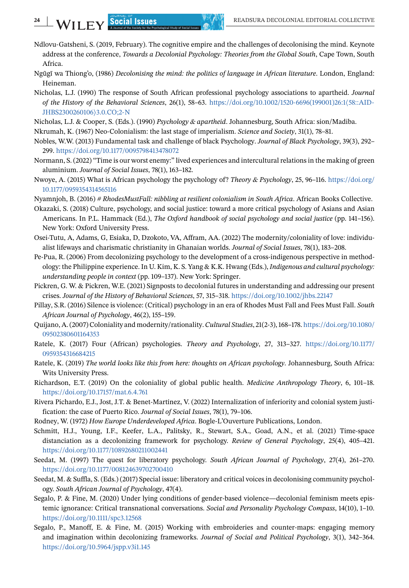- 
- Ndlovu-Gatsheni, S. (2019, February). The cognitive empire and the challenges of decolonising the mind. Keynote address at the conference, *Towards a Decolonial Psychology: Theories from the Global South*, Cape Town, South Africa.
- Ngũgĩ wa Thiong'o, (1986) *Decolonising the mind: the politics of language in African literature*. London, England: Heineman.
- Nicholas, L.J. (1990) The response of South African professional psychology associations to apartheid. *Journal of the History of the Behavioral Sciences*, 26(1), 58–63. [https://doi.org/10.1002/1520-6696\(199001\)26:1](https://doi.org/10.1002/1520-6696(199001)26:1%3C58::AID-JHBS2300260106%3E3.0.CO;2-N)⟨58::AID-[JHBS2300260106](https://doi.org/10.1002/1520-6696(199001)26:1%3C58::AID-JHBS2300260106%3E3.0.CO;2-N)⟩3.0.CO;2-N
- Nicholas, L.J. & Cooper, S. (Eds.). (1990) *Psychology & apartheid*. Johannesburg, South Africa: sion/Madiba.
- Nkrumah, K. (1967) Neo-Colonialism: the last stage of imperialism. *Science and Society*, 31(1), 78–81.
- Nobles, W.W. (2013) Fundamental task and challenge of black Psychology. *Journal of Black Psychology*, 39(3), 292– 299. <https://doi.org/10.1177/0095798413478072>
- Normann, S. (2022) "Time is our worst enemy:" lived experiences and intercultural relations in the making of green aluminium. *Journal of Social Issues*, 78(1), 163–182.
- Nwoye, A. (2015) What is African psychology the psychology of? *Theory & Psychology*, 25, 96–116. [https://doi.org/](https://doi.org/10.1177/0959354314565116) [10.1177/0959354314565116](https://doi.org/10.1177/0959354314565116)
- Nyamnjoh, B. (2016) *# RhodesMustFall: nibbling at resilient colonialism in South Africa*. African Books Collective.
- Okazaki, S. (2018) Culture, psychology, and social justice: toward a more critical psychology of Asians and Asian Americans. In P.L. Hammack (Ed.), *The Oxford handbook of social psychology and social justice* (pp. 141–156). New York: Oxford University Press.
- Osei-Tutu, A, Adams, G, Esiaka, D, Dzokoto, VA, Affram, AA. (2022) The modernity/coloniality of love: individualist lifeways and charismatic christianity in Ghanaian worlds. *Journal of Social Issues*, 78(1), 183–208.
- Pe-Pua, R. (2006) From decolonizing psychology to the development of a cross-indigenous perspective in methodology: the Philippine experience. In U. Kim, K. S. Yang & K.K. Hwang (Eds.), *Indigenous and cultural psychology: understanding people in context* (pp. 109–137). New York: Springer.
- Pickren, G. W. & Pickren, W.E. (2021) Signposts to decolonial futures in understanding and addressing our present crises. *Journal of the History of Behavioral Sciences*, 57, 315–318. <https://doi.org/10.1002/jhbs.22147>
- Pillay, S.R. (2016) Silence is violence: (Critical) psychology in an era of Rhodes Must Fall and Fees Must Fall. *South African Journal of Psychology*, 46(2), 155–159.
- Quijano, A. (2007) Coloniality and modernity/rationality.*Cultural Studies*, 21(2-3), 168–178. [https://doi.org/10.1080/](https://doi.org/10.1080/09502380601164353) [09502380601164353](https://doi.org/10.1080/09502380601164353)
- Ratele, K. (2017) Four (African) psychologies. *Theory and Psychology*, 27, 313–327. [https://doi.org/10.1177/](https://doi.org/10.1177/0959354316684215) [0959354316684215](https://doi.org/10.1177/0959354316684215)
- Ratele, K. (2019) *The world looks like this from here: thoughts on African psychology*. Johannesburg, South Africa: Wits University Press.
- Richardson, E.T. (2019) On the coloniality of global public health. *Medicine Anthropology Theory*, 6, 101–18. <https://doi.org/10.17157/mat.6.4.761>
- Rivera Pichardo, E.J., Jost, J.T. & Benet-Martínez, V. (2022) Internalization of inferiority and colonial system justification: the case of Puerto Rico. *Journal of Social Issues*, 78(1), 79–106.
- Rodney, W. (1972) *How Europe Underdeveloped Africa*. Bogle-L'Ouverture Publications, London.
- Schmitt, H.J., Young, I.F., Keefer, L.A., Palitsky, R., Stewart, S.A., Goad, A.N., et al. (2021) Time-space distanciation as a decolonizing framework for psychology. *Review of General Psychology*, 25(4), 405–421. <https://doi.org/10.1177/10892680211002441>
- Seedat, M. (1997) The quest for liberatory psychology. *South African Journal of Psychology*, 27(4), 261–270. <https://doi.org/10.1177/008124639702700410>
- Seedat, M. & Suffla, S. (Eds.) (2017) Special issue: liberatory and critical voices in decolonising community psychology. *South African Journal of Psychology*, 47(4).
- Segalo, P. & Fine, M. (2020) Under lying conditions of gender-based violence—decolonial feminism meets epistemic ignorance: Critical transnational conversations. *Social and Personality Psychology Compass*, 14(10), 1–10. <https://doi.org/10.1111/spc3.12568>
- Segalo, P., Manoff, E. & Fine, M. (2015) Working with embroideries and counter-maps: engaging memory and imagination within decolonizing frameworks. *Journal of Social and Political Psychology*, 3(1), 342–364. <https://doi.org/10.5964/jspp.v3i1.145>

<span id="page-17-0"></span>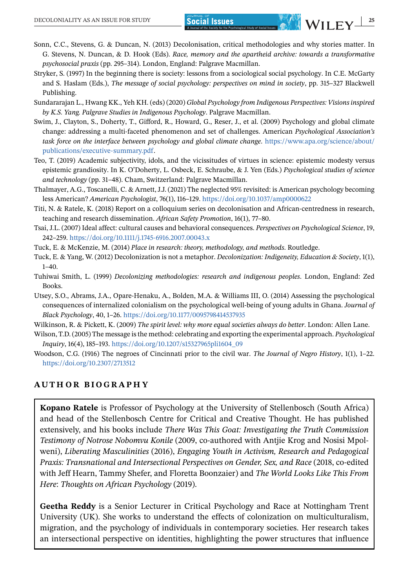- <span id="page-18-0"></span>Sonn, C.C., Stevens, G. & Duncan, N. (2013) Decolonisation, critical methodologies and why stories matter. In G. Stevens, N. Duncan, & D. Hook (Eds). *Race, memory and the apartheid archive: towards a transformative psychosocial praxis* (pp. 295–314). London, England: Palgrave Macmillan.
- Stryker, S. (1997) In the beginning there is society: lessons from a sociological social psychology. In C.E. McGarty and S. Haslam (Eds.), *The message of social psychology: perspectives on mind in society*, pp. 315–327 Blackwell Publishing.
- Sundararajan L., Hwang KK., Yeh KH. (eds) (2020) *Global Psychology from Indigenous Perspectives: Visions inspired by K.S. Yang. Palgrave Studies in Indigenous Psychology*. Palgrave Macmillan.
- Swim, J., Clayton, S., Doherty, T., Gifford, R., Howard, G., Reser, J., et al. (2009) Psychology and global climate change: addressing a multi-faceted phenomenon and set of challenges. American *Psychological Association's task force on the interface between psychology and global climate change.* [https://www.apa.org/science/about/](https://www.apa.org/science/about/publications/executive-summary.pdf) [publications/executive-summary.pdf.](https://www.apa.org/science/about/publications/executive-summary.pdf)
- Teo, T. (2019) Academic subjectivity, idols, and the vicissitudes of virtues in science: epistemic modesty versus epistemic grandiosity. In K. O'Doherty, L. Osbeck, E. Schraube, & J. Yen (Eds.) *Psychological studies of science and technology* (pp. 31–48). Cham, Switzerland: Palgrave Macmillan.
- Thalmayer, A.G., Toscanelli, C. & Arnett, J.J. (2021) The neglected 95% revisited: is American psychology becoming less American? *American Psychologist*, 76(1), 116–129. <https://doi.org/10.1037/amp0000622>
- Titi, N. & Ratele, K. (2018) Report on a colloquium series on decolonisation and African-centredness in research, teaching and research dissemination. *African Safety Promotion*, 16(1), 77–80.
- Tsai, J.L. (2007) Ideal affect: cultural causes and behavioral consequences. *Perspectives on Psychological Science*, 19, 242–259. <https://doi.org/10.1111/j.1745-6916.2007.00043.x>
- Tuck, E. & McKenzie, M. (2014) *Place in research: theory, methodology, and methods*. Routledge.
- Tuck, E. & Yang, W. (2012) Decolonization is not a metaphor. *Decolonization: Indigeneity, Education & Society*, 1(1),  $1 - 40$ .
- Tuhiwai Smith, L. (1999) *Decolonizing methodologies: research and indigenous peoples*. London, England: Zed Books.
- Utsey, S.O., Abrams, J.A., Opare-Henaku, A., Bolden, M.A. & Williams III, O. (2014) Assessing the psychological consequences of internalized colonialism on the psychological well-being of young adults in Ghana. *Journal of Black Psychology*, 40, 1–26. <https://doi.org/10.1177/0095798414537935>
- Wilkinson, R. & Pickett, K. (2009) *The spirit level: why more equal societies always do better*. London: Allen Lane.
- Wilson, T.D. (2005) The message is the method: celebrating and exporting the experimental approach. *Psychological Inquiry*, 16(4), 185–193. [https://doi.org/10.1207/s15327965pli1604\\_09](https://doi.org/10.1207/s15327965pli1604_09)
- Woodson, C.G. (1916) The negroes of Cincinnati prior to the civil war. *The Journal of Negro History*, 1(1), 1–22. <https://doi.org/10.2307/2713512>

#### **AUTHOR BIOGRAPHY**

**Kopano Ratele** is Professor of Psychology at the University of Stellenbosch (South Africa) and head of the Stellenbosch Centre for Critical and Creative Thought. He has published extensively, and his books include *There Was This Goat: Investigating the Truth Commission Testimony of Notrose Nobomvu Konile* (2009, co-authored with Antjie Krog and Nosisi Mpolweni), *Liberating Masculinities* (2016), *Engaging Youth in Activism, Research and Pedagogical Praxis: Transnational and Intersectional Perspectives on Gender, Sex, and Race* (2018, co-edited with Jeff Hearn, Tammy Shefer, and Floretta Boonzaier) and *The World Looks Like This From Here*: *Thoughts on African Psychology* (2019).

**Geetha Reddy** is a Senior Lecturer in Critical Psychology and Race at Nottingham Trent University (UK). She works to understand the effects of colonization on multiculturalism, migration, and the psychology of individuals in contemporary societies. Her research takes an intersectional perspective on identities, highlighting the power structures that influence